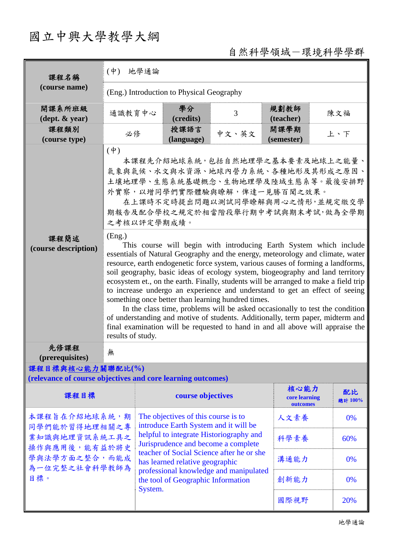## 國立中興大學教學大綱

## 自然科學領域-環境科學學群

| 課程名稱<br>(course name)                                                                                     | $(\phi)$<br>地學通論                                                                                                                                                                                                                                                                                                                                                                                                                                                                                                                                                                                                                                                                                                                                                                                                                           |                                                                                                                                                                         |                    |       |                                   |     |               |  |
|-----------------------------------------------------------------------------------------------------------|--------------------------------------------------------------------------------------------------------------------------------------------------------------------------------------------------------------------------------------------------------------------------------------------------------------------------------------------------------------------------------------------------------------------------------------------------------------------------------------------------------------------------------------------------------------------------------------------------------------------------------------------------------------------------------------------------------------------------------------------------------------------------------------------------------------------------------------------|-------------------------------------------------------------------------------------------------------------------------------------------------------------------------|--------------------|-------|-----------------------------------|-----|---------------|--|
|                                                                                                           | (Eng.) Introduction to Physical Geography                                                                                                                                                                                                                                                                                                                                                                                                                                                                                                                                                                                                                                                                                                                                                                                                  |                                                                                                                                                                         |                    |       |                                   |     |               |  |
| 開課系所班級<br>$(\text{dept.} \& \text{ year})$                                                                | 通識教育中心                                                                                                                                                                                                                                                                                                                                                                                                                                                                                                                                                                                                                                                                                                                                                                                                                                     |                                                                                                                                                                         | 學分<br>(credits)    | 3     | 規劃教師<br>(teacher)                 |     | 陳文福           |  |
| 課程類別<br>(course type)                                                                                     | 必修                                                                                                                                                                                                                                                                                                                                                                                                                                                                                                                                                                                                                                                                                                                                                                                                                                         |                                                                                                                                                                         | 授課語言<br>(language) | 中文、英文 | 開課學期<br>(semester)                |     | 上、下           |  |
|                                                                                                           | $(\phi)$<br>本課程先介紹地球系統,包括自然地理學之基本要素及地球上之能量、<br>氣象與氣候、水文與水資源、地球內營力系統、各種地形及其形成之原因、<br>土壤地理學、生態系統基礎概念、生物地理學及陸域生態系等。最後安排野<br>外實察,以增同學們實際體驗與瞭解,俾達一見勝百聞之效果。<br>在上課時不定時提出問題以測試同學瞭解與用心之情形,並規定繳交學<br>期報告及配合學校之規定於相當階段舉行期中考試與期末考試,做為全學期<br>之考核以評定學期成績。                                                                                                                                                                                                                                                                                                                                                                                                                                                                                                                                                                                               |                                                                                                                                                                         |                    |       |                                   |     |               |  |
| 課程簡述<br>(course description)                                                                              | (Eng.)<br>This course will begin with introducing Earth System which include<br>essentials of Natural Geography and the energy, meteorology and climate, water<br>resource, earth endogenetic force system, various causes of forming a landforms,<br>soil geography, basic ideas of ecology system, biogeography and land territory<br>ecosystem et., on the earth. Finally, students will be arranged to make a field trip<br>to increase undergo an experience and understand to get an effect of seeing<br>something once better than learning hundred times.<br>In the class time, problems will be asked occasionally to test the condition<br>of understanding and motive of students. Additionally, term paper, midterm and<br>final examination will be requested to hand in and all above will appraise the<br>results of study. |                                                                                                                                                                         |                    |       |                                   |     |               |  |
| 先修課程<br>(prerequisites)                                                                                   | 血                                                                                                                                                                                                                                                                                                                                                                                                                                                                                                                                                                                                                                                                                                                                                                                                                                          |                                                                                                                                                                         |                    |       |                                   |     |               |  |
| 課程目標與核心能力關聯配比(%)<br>(relevance of course objectives and core learning outcomes)                           |                                                                                                                                                                                                                                                                                                                                                                                                                                                                                                                                                                                                                                                                                                                                                                                                                                            |                                                                                                                                                                         |                    |       |                                   |     |               |  |
| 課程目標                                                                                                      |                                                                                                                                                                                                                                                                                                                                                                                                                                                                                                                                                                                                                                                                                                                                                                                                                                            |                                                                                                                                                                         | course objectives  |       | 核心能力<br>core learning<br>outcomes |     | 配比<br>總計 100% |  |
| 本課程旨在介紹地球系統,期<br>同學們能於習得地理相關之專<br>業知識與地理資訊系統工具之<br>操作與應用後,能有益於將史<br>學與法學方面之整合,而能成<br>為一位完整之社會科學教師為<br>目標。 |                                                                                                                                                                                                                                                                                                                                                                                                                                                                                                                                                                                                                                                                                                                                                                                                                                            | The objectives of this course is to<br>introduce Earth System and it will be<br>helpful to integrate Historiography and<br>Jurisprudence and become a complete          |                    | 人文素養  |                                   | 0%  |               |  |
|                                                                                                           |                                                                                                                                                                                                                                                                                                                                                                                                                                                                                                                                                                                                                                                                                                                                                                                                                                            |                                                                                                                                                                         |                    | 科學素養  |                                   | 60% |               |  |
|                                                                                                           |                                                                                                                                                                                                                                                                                                                                                                                                                                                                                                                                                                                                                                                                                                                                                                                                                                            | teacher of Social Science after he or she<br>has learned relative geographic<br>professional knowledge and manipulated<br>the tool of Geographic Information<br>System. |                    |       | 溝通能力                              |     | 0%            |  |
|                                                                                                           |                                                                                                                                                                                                                                                                                                                                                                                                                                                                                                                                                                                                                                                                                                                                                                                                                                            |                                                                                                                                                                         |                    |       | 創新能力                              |     | 0%            |  |
|                                                                                                           |                                                                                                                                                                                                                                                                                                                                                                                                                                                                                                                                                                                                                                                                                                                                                                                                                                            |                                                                                                                                                                         |                    |       | 國際視野                              |     | 20%           |  |